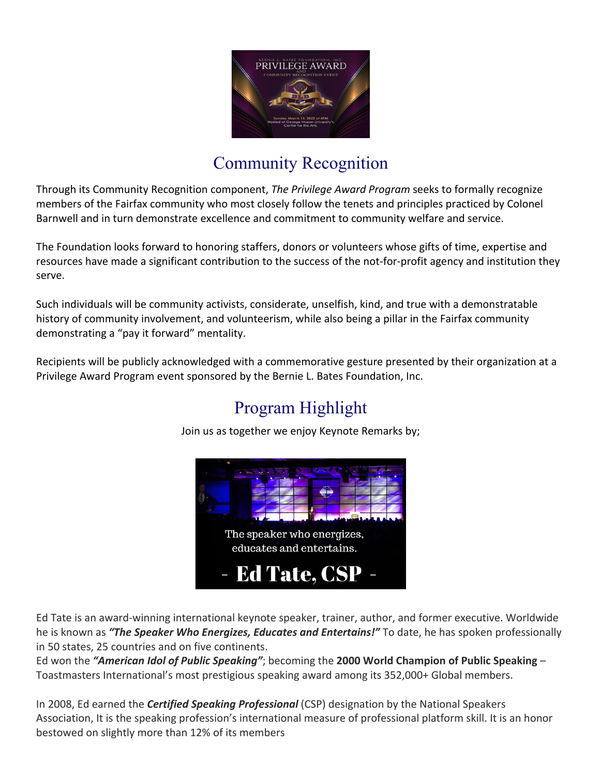

## Community Recognition

Through its Community Recognition component, *The Privilege Award Program* seeks to formally recognize members of the Fairfax community who most closely follow the tenets and principles practiced by Colonel Barnwell and in turn demonstrate excellence and commitment to community welfare and service.

The Foundation looks forward to honoring staffers, donors or volunteers whose gifts of time, expertise and resources have made a significant contribution to the success of the not-for-profit agency and institution they serve.

Such individuals will be community activists, considerate, unselfish, kind, and true with a demonstratable history of community involvement, and volunteerism, while also being a pillar in the Fairfax community demonstrating a "pay it forward" mentality.

Recipients will be publicly acknowledged with a commemorative gesture presented by their organization at a Privilege Award Program event sponsored by the Bernie L. Bates Foundation, Inc.

# Program Highlight



Join us as together we enjoy Keynote Remarks by;

Ed Tate is an award-winning international keynote speaker, trainer, author, and former executive. Worldwide he is known as *"The Speaker Who Energizes, Educates and Entertains!"* To date, he has spoken professionally in 50 states, 25 countries and on five continents.

Ed won the *"American Idol of Public Speaking"*; becoming the **2000 World Champion of Public Speaking** – Toastmasters International's most prestigious speaking award among its 352,000+ Global members.

In 2008, Ed earned the *Certified Speaking Professional* (CSP) designation by the National Speakers Association, It is the speaking profession's international measure of professional platform skill. It is an honor bestowed on slightly more than 12% of its members